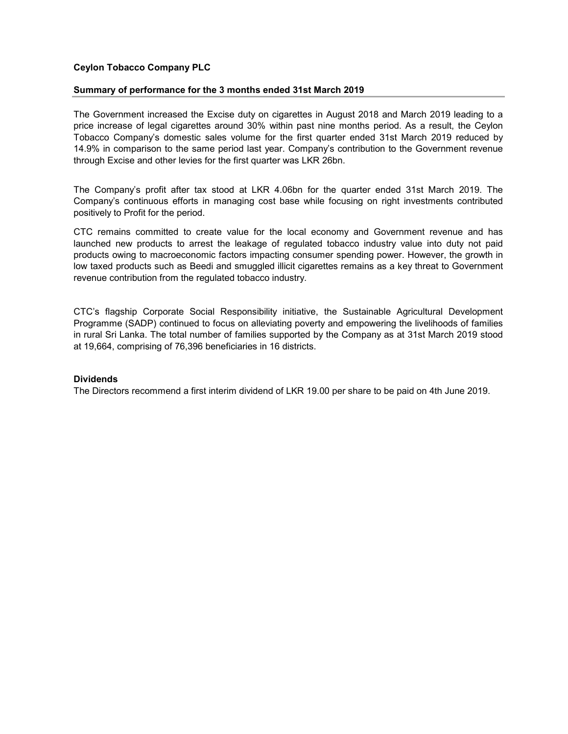## Ceylon Tobacco Company PLC

## Summary of performance for the 3 months ended 31st March 2019

The Government increased the Excise duty on cigarettes in August 2018 and March 2019 leading to a price increase of legal cigarettes around 30% within past nine months period. As a result, the Ceylon Tobacco Company's domestic sales volume for the first quarter ended 31st March 2019 reduced by 14.9% in comparison to the same period last year. Company's contribution to the Government revenue through Excise and other levies for the first quarter was LKR 26bn.

The Company's profit after tax stood at LKR 4.06bn for the quarter ended 31st March 2019. The Company's continuous efforts in managing cost base while focusing on right investments contributed positively to Profit for the period.

CTC remains committed to create value for the local economy and Government revenue and has launched new products to arrest the leakage of regulated tobacco industry value into duty not paid products owing to macroeconomic factors impacting consumer spending power. However, the growth in low taxed products such as Beedi and smuggled illicit cigarettes remains as a key threat to Government revenue contribution from the regulated tobacco industry.

CTC's flagship Corporate Social Responsibility initiative, the Sustainable Agricultural Development Programme (SADP) continued to focus on alleviating poverty and empowering the livelihoods of families in rural Sri Lanka. The total number of families supported by the Company as at 31st March 2019 stood at 19,664, comprising of 76,396 beneficiaries in 16 districts.

## **Dividends**

The Directors recommend a first interim dividend of LKR 19.00 per share to be paid on 4th June 2019.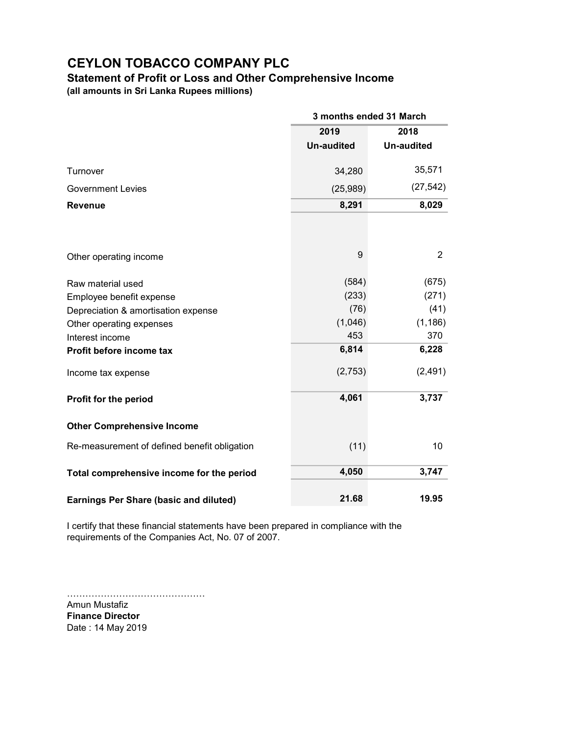## Statement of Profit or Loss and Other Comprehensive Income

(all amounts in Sri Lanka Rupees millions)

|                                               | 3 months ended 31 March |                   |  |
|-----------------------------------------------|-------------------------|-------------------|--|
|                                               | 2019                    | 2018              |  |
|                                               | <b>Un-audited</b>       | <b>Un-audited</b> |  |
| Turnover                                      | 34,280                  | 35,571            |  |
| <b>Government Levies</b>                      | (25,989)                | (27, 542)         |  |
| <b>Revenue</b>                                | 8,291                   | 8,029             |  |
|                                               |                         |                   |  |
| Other operating income                        | 9                       | 2                 |  |
| Raw material used                             | (584)                   | (675)             |  |
| Employee benefit expense                      | (233)                   | (271)             |  |
| Depreciation & amortisation expense           | (76)                    | (41)              |  |
| Other operating expenses                      | (1,046)                 | (1, 186)          |  |
| Interest income                               | 453                     | 370               |  |
| Profit before income tax                      | 6,814                   | 6,228             |  |
| Income tax expense                            | (2,753)                 | (2, 491)          |  |
| Profit for the period                         | 4,061                   | 3,737             |  |
| <b>Other Comprehensive Income</b>             |                         |                   |  |
| Re-measurement of defined benefit obligation  | (11)                    | 10                |  |
| Total comprehensive income for the period     | 4,050                   | 3,747             |  |
| <b>Earnings Per Share (basic and diluted)</b> | 21.68                   | 19.95             |  |

I certify that these financial statements have been prepared in compliance with the requirements of the Companies Act, No. 07 of 2007.

……………………………………… Amun Mustafiz Finance Director Date : 14 May 2019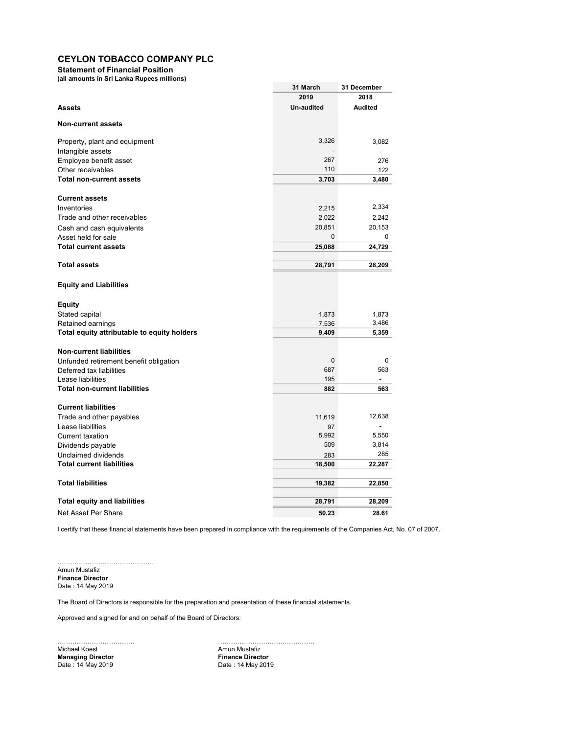Statement of Financial Position

(all amounts in Sri Lanka Rupees millions)

| (all alliourits in St) Larika Rupees millions) |                   |                |
|------------------------------------------------|-------------------|----------------|
|                                                | 31 March          | 31 December    |
|                                                | 2019              | 2018           |
| Assets                                         | <b>Un-audited</b> | Audited        |
| <b>Non-current assets</b>                      |                   |                |
| Property, plant and equipment                  | 3,326             | 3,082          |
| Intangible assets                              |                   |                |
| Employee benefit asset                         | 267               | 276            |
| Other receivables                              | 110               | 122            |
| <b>Total non-current assets</b>                | 3,703             | 3,480          |
| <b>Current assets</b>                          |                   |                |
| Inventories                                    | 2,215             | 2,334          |
| Trade and other receivables                    | 2,022             | 2,242          |
| Cash and cash equivalents                      | 20,851            | 20,153         |
| Asset held for sale                            | $\mathbf 0$       | 0              |
| <b>Total current assets</b>                    | 25,088            | 24,729         |
| <b>Total assets</b>                            | 28,791            | 28,209         |
| <b>Equity and Liabilities</b>                  |                   |                |
| Equity                                         |                   |                |
| Stated capital                                 | 1,873             | 1,873          |
| Retained earnings                              | 7,536             | 3,486          |
| Total equity attributable to equity holders    | 9,409             | 5,359          |
| <b>Non-current liabilities</b>                 |                   |                |
| Unfunded retirement benefit obligation         | 0                 | 0              |
| Deferred tax liabilities                       | 687               | 563            |
| Lease liabilities                              | 195               | $\overline{a}$ |
| <b>Total non-current liabilities</b>           | 882               | 563            |
| <b>Current liabilities</b>                     |                   |                |
| Trade and other payables                       | 11,619            | 12,638         |
| Lease liabilities                              | 97                |                |
| <b>Current taxation</b>                        | 5,992             | 5,550          |
| Dividends payable                              | 509               | 3,814          |
| Unclaimed dividends                            | 283               | 285            |
| <b>Total current liabilities</b>               | 18,500            | 22,287         |
| <b>Total liabilities</b>                       | 19,382            | 22,850         |
| <b>Total equity and liabilities</b>            | 28,791            | 28,209         |
| Net Asset Per Share                            | 50.23             | 28.61          |

I certify that these financial statements have been prepared in compliance with the requirements of the Companies Act, No. 07 of 2007.

……………………………………… Amun Mustafiz Finance Director Date : 14 May 2019

The Board of Directors is responsible for the preparation and presentation of these financial statements.

Approved and signed for and on behalf of the Board of Directors:

Michael Koest (Amun Mustafiz Amun Mustafiz Amun Mustafiz Amun Mustafiz Amun Mustafiz Amun Mustafiz Amun Mustafi<br>
Managing Director (Amun Mustafiz Amun Mustafiz Amun Mustafiz Amun Mustafiz Amun Mustafiz Amun Mustafiz Amun M Managing Director<br>Date : 14 May 2019

……………………………… ……………………………………… Date : 14 May 2019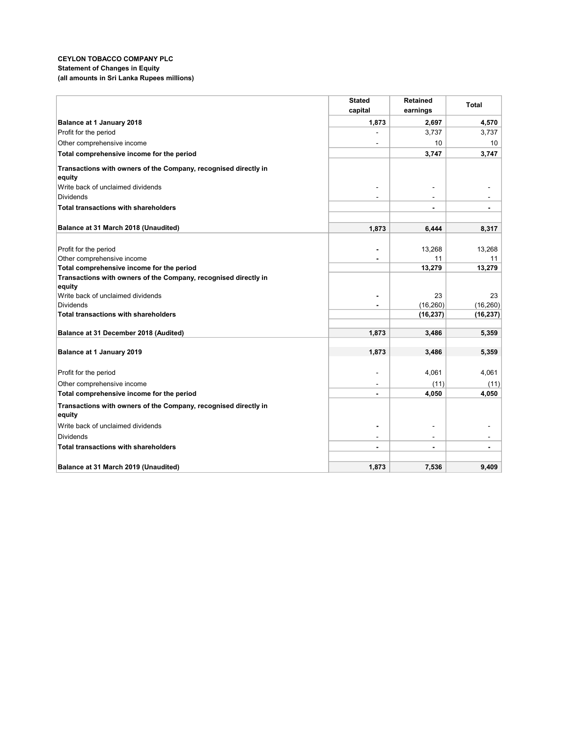### CEYLON TOBACCO COMPANY PLC Statement of Changes in Equity (all amounts in Sri Lanka Rupees millions)

|                                                                           | <b>Stated</b>  | <b>Retained</b> | Total           |
|---------------------------------------------------------------------------|----------------|-----------------|-----------------|
|                                                                           | capital        | earnings        |                 |
| Balance at 1 January 2018                                                 | 1,873          | 2,697           | 4,570           |
| Profit for the period                                                     |                | 3,737           | 3,737           |
| Other comprehensive income                                                |                | 10              | 10              |
| Total comprehensive income for the period                                 |                | 3,747           | 3,747           |
| Transactions with owners of the Company, recognised directly in<br>equity |                |                 |                 |
| Write back of unclaimed dividends                                         |                |                 |                 |
| <b>Dividends</b>                                                          |                | $\overline{a}$  |                 |
| <b>Total transactions with shareholders</b>                               |                |                 | $\blacksquare$  |
| Balance at 31 March 2018 (Unaudited)                                      | 1,873          | 6,444           | 8,317           |
|                                                                           |                |                 |                 |
| Profit for the period                                                     |                | 13,268          | 13,268          |
| Other comprehensive income                                                |                | 11              | 11              |
| Total comprehensive income for the period                                 |                | 13,279          | 13,279          |
| Transactions with owners of the Company, recognised directly in           |                |                 |                 |
| equity                                                                    |                |                 |                 |
| Write back of unclaimed dividends<br><b>Dividends</b>                     |                | 23<br>(16, 260) | 23<br>(16, 260) |
| <b>Total transactions with shareholders</b>                               | $\blacksquare$ | (16, 237)       | (16, 237)       |
|                                                                           |                |                 |                 |
| Balance at 31 December 2018 (Audited)                                     | 1,873          | 3,486           | 5,359           |
| Balance at 1 January 2019                                                 | 1,873          | 3,486           | 5,359           |
| Profit for the period                                                     |                | 4,061           | 4,061           |
| Other comprehensive income                                                |                | (11)            | (11)            |
| Total comprehensive income for the period                                 |                | 4,050           | 4,050           |
| Transactions with owners of the Company, recognised directly in           |                |                 |                 |
| equity                                                                    |                |                 |                 |
| Write back of unclaimed dividends                                         | $\blacksquare$ |                 |                 |
| <b>Dividends</b>                                                          | ٠              | $\sim$          |                 |
| <b>Total transactions with shareholders</b>                               | $\blacksquare$ |                 | $\blacksquare$  |
| Balance at 31 March 2019 (Unaudited)                                      | 1,873          | 7,536           | 9,409           |
|                                                                           |                |                 |                 |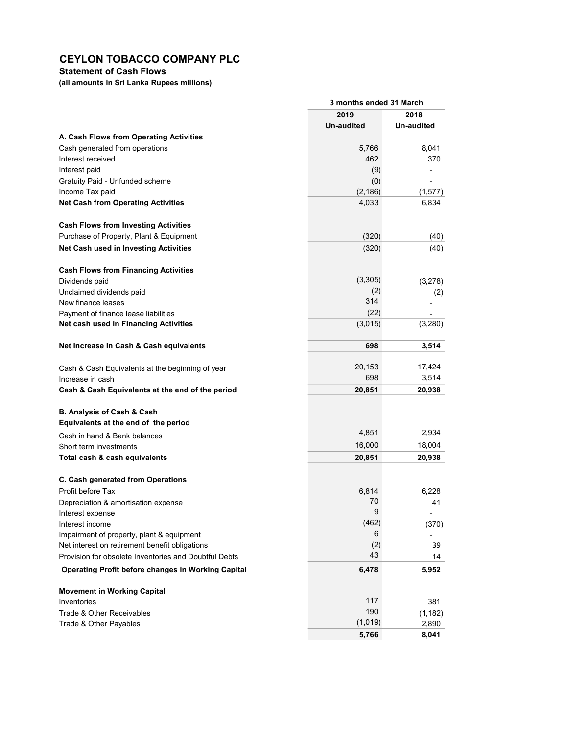Statement of Cash Flows

(all amounts in Sri Lanka Rupees millions)

|                                                           |                   | 3 months ended 31 March |  |  |
|-----------------------------------------------------------|-------------------|-------------------------|--|--|
|                                                           | 2019              | 2018                    |  |  |
|                                                           | <b>Un-audited</b> | Un-audited              |  |  |
| A. Cash Flows from Operating Activities                   |                   |                         |  |  |
| Cash generated from operations                            | 5,766             | 8,041                   |  |  |
| Interest received                                         | 462               | 370                     |  |  |
| Interest paid                                             | (9)               |                         |  |  |
| Gratuity Paid - Unfunded scheme                           | (0)               |                         |  |  |
| Income Tax paid                                           | (2, 186)          | (1, 577)                |  |  |
| <b>Net Cash from Operating Activities</b>                 | 4,033             | 6,834                   |  |  |
| <b>Cash Flows from Investing Activities</b>               |                   |                         |  |  |
| Purchase of Property, Plant & Equipment                   | (320)             | (40)                    |  |  |
| Net Cash used in Investing Activities                     | (320)             | (40)                    |  |  |
| <b>Cash Flows from Financing Activities</b>               |                   |                         |  |  |
| Dividends paid                                            | (3,305)           | (3,278)                 |  |  |
| Unclaimed dividends paid                                  | (2)               | (2)                     |  |  |
| New finance leases                                        | 314               |                         |  |  |
| Payment of finance lease liabilities                      | (22)              |                         |  |  |
| Net cash used in Financing Activities                     | (3,015)           | (3,280)                 |  |  |
| Net Increase in Cash & Cash equivalents                   | 698               | 3,514                   |  |  |
| Cash & Cash Equivalents at the beginning of year          | 20,153            | 17,424                  |  |  |
| Increase in cash                                          | 698               | 3,514                   |  |  |
| Cash & Cash Equivalents at the end of the period          | 20,851            | 20,938                  |  |  |
| B. Analysis of Cash & Cash                                |                   |                         |  |  |
| Equivalents at the end of the period                      |                   |                         |  |  |
| Cash in hand & Bank balances                              | 4,851             | 2,934                   |  |  |
| Short term investments                                    | 16,000            | 18,004                  |  |  |
| Total cash & cash equivalents                             | 20,851            | 20,938                  |  |  |
| C. Cash generated from Operations                         |                   |                         |  |  |
| Profit before Tax                                         | 6,814             | 6,228                   |  |  |
| Depreciation & amortisation expense                       | 70                | 41                      |  |  |
| Interest expense                                          | 9                 |                         |  |  |
| Interest income                                           | (462)             | (370)                   |  |  |
| Impairment of property, plant & equipment                 | 6                 |                         |  |  |
| Net interest on retirement benefit obligations            | (2)               | 39                      |  |  |
| Provision for obsolete Inventories and Doubtful Debts     | 43                | 14                      |  |  |
| <b>Operating Profit before changes in Working Capital</b> | 6,478             | 5,952                   |  |  |
| <b>Movement in Working Capital</b>                        |                   |                         |  |  |
| Inventories                                               | 117               | 381                     |  |  |
| Trade & Other Receivables                                 | 190               | (1, 182)                |  |  |
| Trade & Other Payables                                    | (1,019)           | 2,890                   |  |  |
|                                                           | 5,766             | 8,041                   |  |  |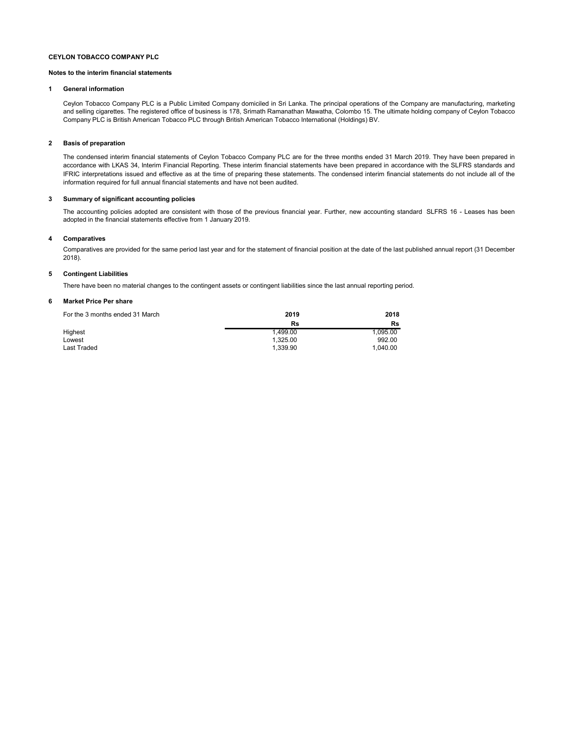#### Notes to the interim financial statements

#### 1 General information

Ceylon Tobacco Company PLC is a Public Limited Company domiciled in Sri Lanka. The principal operations of the Company are manufacturing, marketing and selling cigarettes. The registered office of business is 178, Srimath Ramanathan Mawatha, Colombo 15. The ultimate holding company of Ceylon Tobacco Company PLC is British American Tobacco PLC through British American Tobacco International (Holdings) BV.

#### 2 Basis of preparation

The condensed interim financial statements of Ceylon Tobacco Company PLC are for the three months ended 31 March 2019. They have been prepared in accordance with LKAS 34, Interim Financial Reporting. These interim financial statements have been prepared in accordance with the SLFRS standards and IFRIC interpretations issued and effective as at the time of preparing these statements. The condensed interim financial statements do not include all of the information required for full annual financial statements and have not been audited.

#### 3 Summary of significant accounting policies

The accounting policies adopted are consistent with those of the previous financial year. Further, new accounting standard SLFRS 16 - Leases has been adopted in the financial statements effective from 1 January 2019.

#### 4 Comparatives

Comparatives are provided for the same period last year and for the statement of financial position at the date of the last published annual report (31 December 2018).

#### 5 Contingent Liabilities

There have been no material changes to the contingent assets or contingent liabilities since the last annual reporting period.

#### 6 Market Price Per share

| For the 3 months ended 31 March | 2019     | 2018     |
|---------------------------------|----------|----------|
|                                 | Rs       | Rs       |
| Highest                         | 1.499.00 | 1.095.00 |
| Lowest                          | 1.325.00 | 992.00   |
| Last Traded                     | 1.339.90 | 1.040.00 |